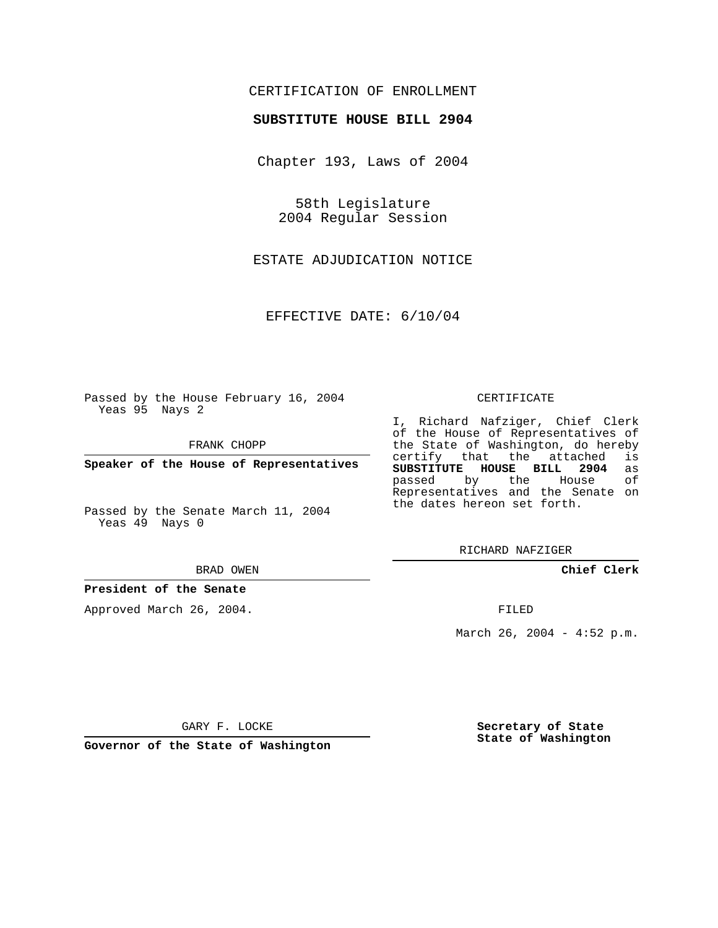# CERTIFICATION OF ENROLLMENT

### **SUBSTITUTE HOUSE BILL 2904**

Chapter 193, Laws of 2004

58th Legislature 2004 Regular Session

ESTATE ADJUDICATION NOTICE

EFFECTIVE DATE: 6/10/04

Passed by the House February 16, 2004 Yeas 95 Nays 2

FRANK CHOPP

**Speaker of the House of Representatives**

Passed by the Senate March 11, 2004 Yeas 49 Nays 0

#### BRAD OWEN

### **President of the Senate**

Approved March 26, 2004.

#### CERTIFICATE

I, Richard Nafziger, Chief Clerk of the House of Representatives of the State of Washington, do hereby<br>certify that the attached is certify that the attached **SUBSTITUTE HOUSE BILL 2904** as passed by the House Representatives and the Senate on the dates hereon set forth.

RICHARD NAFZIGER

**Chief Clerk**

FILED

March 26, 2004 - 4:52 p.m.

GARY F. LOCKE

**Governor of the State of Washington**

**Secretary of State State of Washington**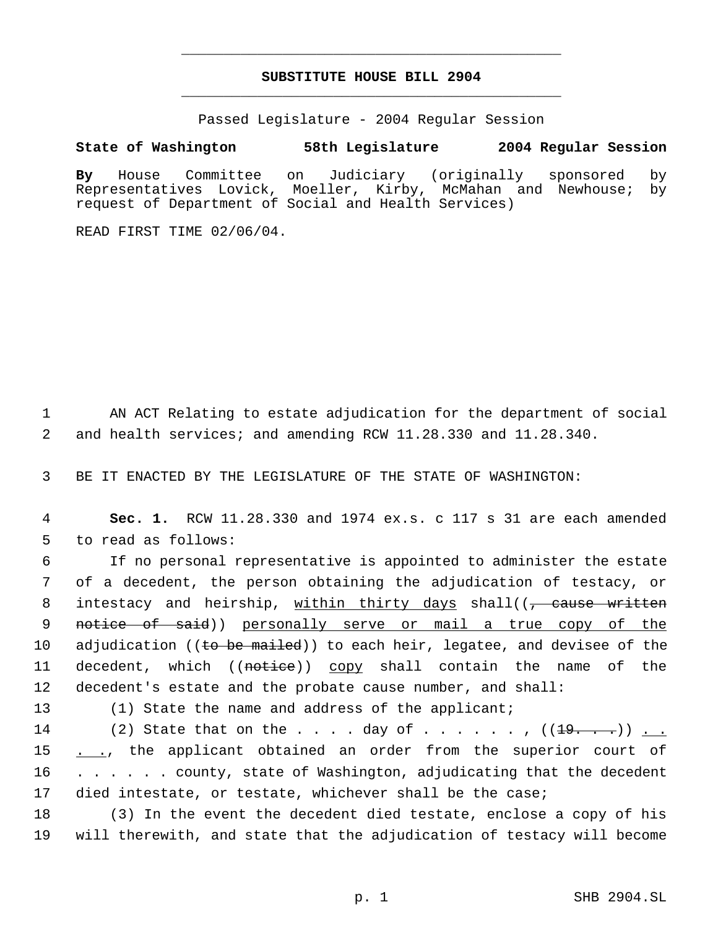# **SUBSTITUTE HOUSE BILL 2904** \_\_\_\_\_\_\_\_\_\_\_\_\_\_\_\_\_\_\_\_\_\_\_\_\_\_\_\_\_\_\_\_\_\_\_\_\_\_\_\_\_\_\_\_\_

\_\_\_\_\_\_\_\_\_\_\_\_\_\_\_\_\_\_\_\_\_\_\_\_\_\_\_\_\_\_\_\_\_\_\_\_\_\_\_\_\_\_\_\_\_

Passed Legislature - 2004 Regular Session

# **State of Washington 58th Legislature 2004 Regular Session**

**By** House Committee on Judiciary (originally sponsored by Representatives Lovick, Moeller, Kirby, McMahan and Newhouse; by request of Department of Social and Health Services)

READ FIRST TIME 02/06/04.

 1 AN ACT Relating to estate adjudication for the department of social 2 and health services; and amending RCW 11.28.330 and 11.28.340.

3 BE IT ENACTED BY THE LEGISLATURE OF THE STATE OF WASHINGTON:

 4 **Sec. 1.** RCW 11.28.330 and 1974 ex.s. c 117 s 31 are each amended 5 to read as follows:

 6 If no personal representative is appointed to administer the estate 7 of a decedent, the person obtaining the adjudication of testacy, or 8 intestacy and heirship, within thirty days shall((<del>, cause written</del> 9 notice of said)) personally serve or mail a true copy of the 10 adjudication ((to be mailed)) to each heir, legatee, and devisee of the 11 decedent, which ((notice)) copy shall contain the name of the 12 decedent's estate and the probate cause number, and shall:

13 (1) State the name and address of the applicant;

14 (2) State that on the . . . . day of . . . . . ,  $((19.7 \cdot \cdot) )$  . . 15 . ., the applicant obtained an order from the superior court of 16 . . . . . . county, state of Washington, adjudicating that the decedent 17 died intestate, or testate, whichever shall be the case;

18 (3) In the event the decedent died testate, enclose a copy of his 19 will therewith, and state that the adjudication of testacy will become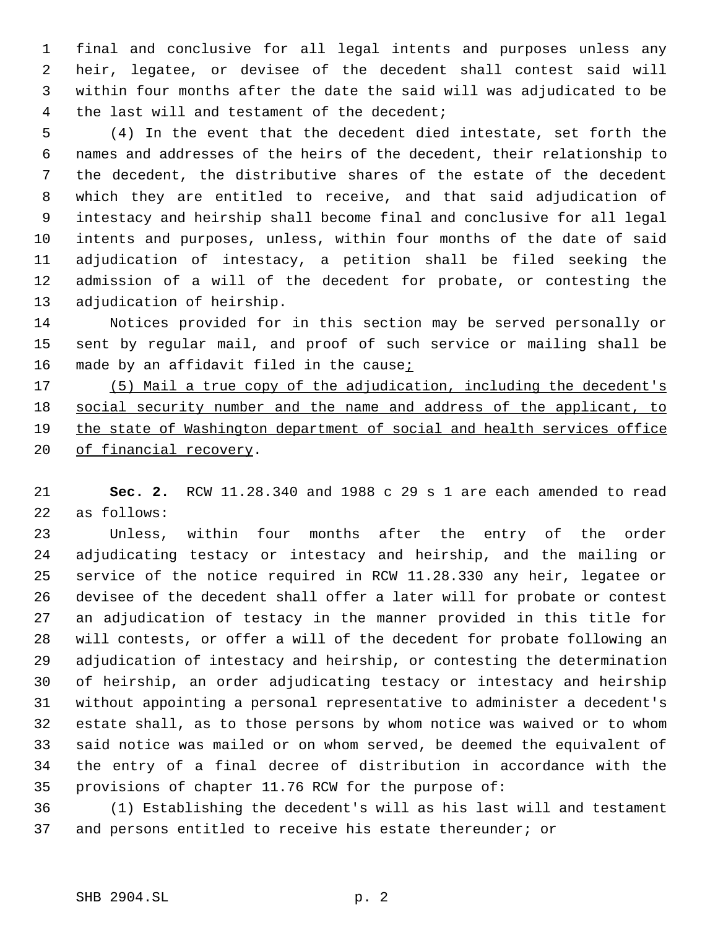final and conclusive for all legal intents and purposes unless any heir, legatee, or devisee of the decedent shall contest said will within four months after the date the said will was adjudicated to be the last will and testament of the decedent;

 (4) In the event that the decedent died intestate, set forth the names and addresses of the heirs of the decedent, their relationship to the decedent, the distributive shares of the estate of the decedent which they are entitled to receive, and that said adjudication of intestacy and heirship shall become final and conclusive for all legal intents and purposes, unless, within four months of the date of said adjudication of intestacy, a petition shall be filed seeking the admission of a will of the decedent for probate, or contesting the adjudication of heirship.

 Notices provided for in this section may be served personally or sent by regular mail, and proof of such service or mailing shall be 16 made by an affidavit filed in the cause;

 (5) Mail a true copy of the adjudication, including the decedent's 18 social security number and the name and address of the applicant, to the state of Washington department of social and health services office 20 of financial recovery.

 **Sec. 2.** RCW 11.28.340 and 1988 c 29 s 1 are each amended to read as follows:

 Unless, within four months after the entry of the order adjudicating testacy or intestacy and heirship, and the mailing or service of the notice required in RCW 11.28.330 any heir, legatee or devisee of the decedent shall offer a later will for probate or contest an adjudication of testacy in the manner provided in this title for will contests, or offer a will of the decedent for probate following an adjudication of intestacy and heirship, or contesting the determination of heirship, an order adjudicating testacy or intestacy and heirship without appointing a personal representative to administer a decedent's estate shall, as to those persons by whom notice was waived or to whom said notice was mailed or on whom served, be deemed the equivalent of the entry of a final decree of distribution in accordance with the provisions of chapter 11.76 RCW for the purpose of:

 (1) Establishing the decedent's will as his last will and testament and persons entitled to receive his estate thereunder; or